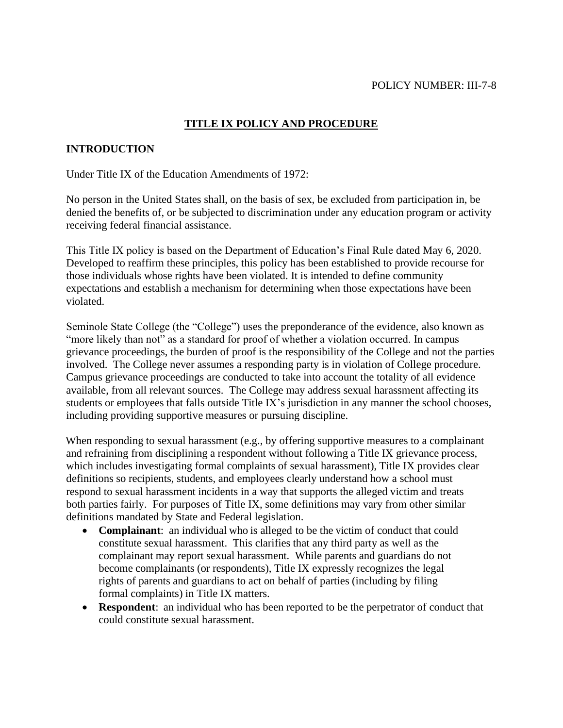### POLICY NUMBER: III-7-8

## **TITLE IX POLICY AND PROCEDURE**

### **INTRODUCTION**

Under Title IX of the Education Amendments of 1972:

No person in the United States shall, on the basis of sex, be excluded from participation in, be denied the benefits of, or be subjected to discrimination under any education program or activity receiving federal financial assistance.

This Title IX policy is based on the Department of Education's Final Rule dated May 6, 2020. Developed to reaffirm these principles, this policy has been established to provide recourse for those individuals whose rights have been violated. It is intended to define community expectations and establish a mechanism for determining when those expectations have been violated.

Seminole State College (the "College") uses the preponderance of the evidence, also known as "more likely than not" as a standard for proof of whether a violation occurred. In campus grievance proceedings, the burden of proof is the responsibility of the College and not the parties involved. The College never assumes a responding party is in violation of College procedure. Campus grievance proceedings are conducted to take into account the totality of all evidence available, from all relevant sources. The College may address sexual harassment affecting its students or employees that falls outside Title IX's jurisdiction in any manner the school chooses, including providing supportive measures or pursuing discipline.

When responding to sexual harassment (e.g., by offering supportive measures to a complainant and refraining from disciplining a respondent without following a Title IX grievance process, which includes investigating formal complaints of sexual harassment), Title IX provides clear definitions so recipients, students, and employees clearly understand how a school must respond to sexual harassment incidents in a way that supports the alleged victim and treats both parties fairly. For purposes of Title IX, some definitions may vary from other similar definitions mandated by State and Federal legislation.

- **Complainant**: an individual who is alleged to be the victim of conduct that could constitute sexual harassment. This clarifies that any third party as well as the complainant may report sexual harassment. While parents and guardians do not become complainants (or respondents), Title IX expressly recognizes the legal rights of parents and guardians to act on behalf of parties (including by filing formal complaints) in Title IX matters.
- **Respondent**: an individual who has been reported to be the perpetrator of conduct that could constitute sexual harassment.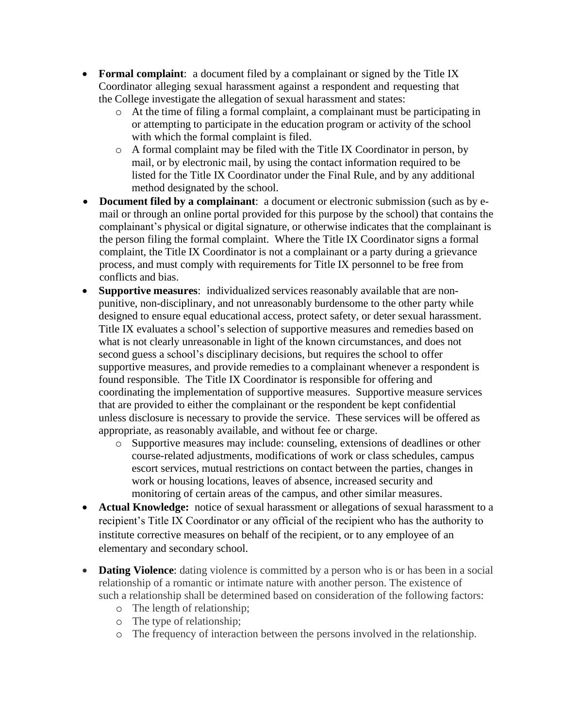- **Formal complaint**: a document filed by a complainant or signed by the Title IX Coordinator alleging sexual harassment against a respondent and requesting that the College investigate the allegation of sexual harassment and states:
	- o At the time of filing a formal complaint, a complainant must be participating in or attempting to participate in the education program or activity of the school with which the formal complaint is filed.
	- o A formal complaint may be filed with the Title IX Coordinator in person, by mail, or by electronic mail, by using the contact information required to be listed for the Title IX Coordinator under the Final Rule, and by any additional method designated by the school.
- **Document filed by a complainant**: a document or electronic submission (such as by email or through an online portal provided for this purpose by the school) that contains the complainant's physical or digital signature, or otherwise indicates that the complainant is the person filing the formal complaint. Where the Title IX Coordinator signs a formal complaint, the Title IX Coordinator is not a complainant or a party during a grievance process, and must comply with requirements for Title IX personnel to be free from conflicts and bias.
- **Supportive measures**: individualized services reasonably available that are nonpunitive, non-disciplinary, and not unreasonably burdensome to the other party while designed to ensure equal educational access, protect safety, or deter sexual harassment. Title IX evaluates a school's selection of supportive measures and remedies based on what is not clearly unreasonable in light of the known circumstances, and does not second guess a school's disciplinary decisions, but requires the school to offer supportive measures, and provide remedies to a complainant whenever a respondent is found responsible. The Title IX Coordinator is responsible for offering and coordinating the implementation of supportive measures. Supportive measure services that are provided to either the complainant or the respondent be kept confidential unless disclosure is necessary to provide the service. These services will be offered as appropriate, as reasonably available, and without fee or charge.
	- o Supportive measures may include: counseling, extensions of deadlines or other course-related adjustments, modifications of work or class schedules, campus escort services, mutual restrictions on contact between the parties, changes in work or housing locations, leaves of absence, increased security and monitoring of certain areas of the campus, and other similar measures.
- **Actual Knowledge:** notice of sexual harassment or allegations of sexual harassment to a recipient's Title IX Coordinator or any official of the recipient who has the authority to institute corrective measures on behalf of the recipient, or to any employee of an elementary and secondary school.
- **Dating Violence**: dating violence is committed by a person who is or has been in a social relationship of a romantic or intimate nature with another person. The existence of such a relationship shall be determined based on consideration of the following factors:
	- o The length of relationship;
	- o The type of relationship;
	- o The frequency of interaction between the persons involved in the relationship.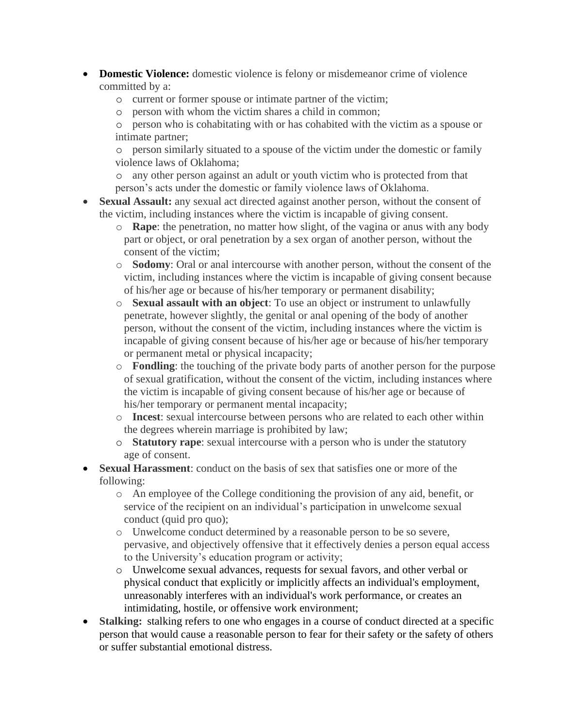- **Domestic Violence:** domestic violence is felony or misdemeanor crime of violence committed by a:
	- o current or former spouse or intimate partner of the victim;
	- o person with whom the victim shares a child in common;
	- o person who is cohabitating with or has cohabited with the victim as a spouse or intimate partner;

o person similarly situated to a spouse of the victim under the domestic or family violence laws of Oklahoma;

- o any other person against an adult or youth victim who is protected from that person's acts under the domestic or family violence laws of Oklahoma.
- **Sexual Assault:** any sexual act directed against another person, without the consent of the victim, including instances where the victim is incapable of giving consent.
	- o **Rape**: the penetration, no matter how slight, of the vagina or anus with any body part or object, or oral penetration by a sex organ of another person, without the consent of the victim;
	- o **Sodomy**: Oral or anal intercourse with another person, without the consent of the victim, including instances where the victim is incapable of giving consent because of his/her age or because of his/her temporary or permanent disability;
	- o **Sexual assault with an object**: To use an object or instrument to unlawfully penetrate, however slightly, the genital or anal opening of the body of another person, without the consent of the victim, including instances where the victim is incapable of giving consent because of his/her age or because of his/her temporary or permanent metal or physical incapacity;
	- o **Fondling**: the touching of the private body parts of another person for the purpose of sexual gratification, without the consent of the victim, including instances where the victim is incapable of giving consent because of his/her age or because of his/her temporary or permanent mental incapacity;
	- o **Incest**: sexual intercourse between persons who are related to each other within the degrees wherein marriage is prohibited by law;
	- o **Statutory rape**: sexual intercourse with a person who is under the statutory age of consent.
- **Sexual Harassment**: conduct on the basis of sex that satisfies one or more of the following:
	- o An employee of the College conditioning the provision of any aid, benefit, or service of the recipient on an individual's participation in unwelcome sexual conduct (quid pro quo);
	- o Unwelcome conduct determined by a reasonable person to be so severe, pervasive, and objectively offensive that it effectively denies a person equal access to the University's education program or activity;
	- o Unwelcome sexual advances, requests for sexual favors, and other verbal or physical conduct that explicitly or implicitly affects an individual's employment, unreasonably interferes with an individual's work performance, or creates an intimidating, hostile, or offensive work environment;
- **Stalking:** stalking refers to one who engages in a course of conduct directed at a specific person that would cause a reasonable person to fear for their safety or the safety of others or suffer substantial emotional distress.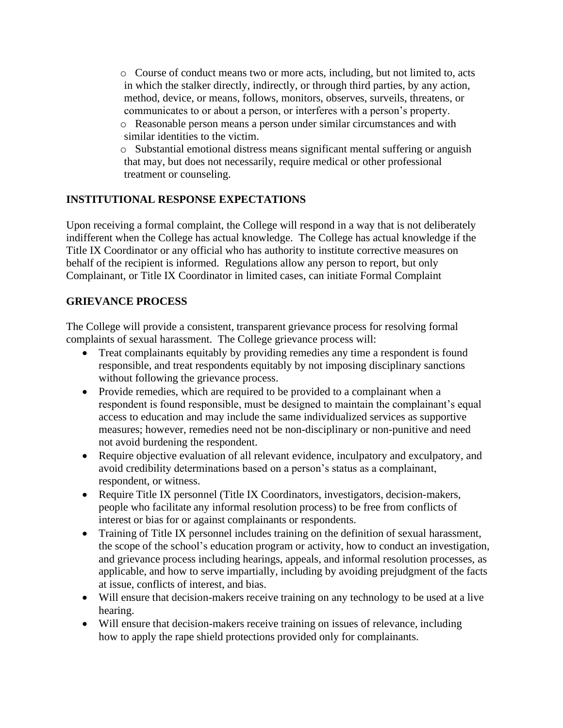o Course of conduct means two or more acts, including, but not limited to, acts in which the stalker directly, indirectly, or through third parties, by any action, method, device, or means, follows, monitors, observes, surveils, threatens, or communicates to or about a person, or interferes with a person's property.

- o Reasonable person means a person under similar circumstances and with similar identities to the victim.
- o Substantial emotional distress means significant mental suffering or anguish that may, but does not necessarily, require medical or other professional treatment or counseling.

## **INSTITUTIONAL RESPONSE EXPECTATIONS**

Upon receiving a formal complaint, the College will respond in a way that is not deliberately indifferent when the College has actual knowledge. The College has actual knowledge if the Title IX Coordinator or any official who has authority to institute corrective measures on behalf of the recipient is informed. Regulations allow any person to report, but only Complainant, or Title IX Coordinator in limited cases, can initiate Formal Complaint

### **GRIEVANCE PROCESS**

The College will provide a consistent, transparent grievance process for resolving formal complaints of sexual harassment. The College grievance process will:

- Treat complainants equitably by providing remedies any time a respondent is found responsible, and treat respondents equitably by not imposing disciplinary sanctions without following the grievance process.
- Provide remedies, which are required to be provided to a complainant when a respondent is found responsible, must be designed to maintain the complainant's equal access to education and may include the same individualized services as supportive measures; however, remedies need not be non-disciplinary or non-punitive and need not avoid burdening the respondent.
- Require objective evaluation of all relevant evidence, inculpatory and exculpatory, and avoid credibility determinations based on a person's status as a complainant, respondent, or witness.
- Require Title IX personnel (Title IX Coordinators, investigators, decision-makers, people who facilitate any informal resolution process) to be free from conflicts of interest or bias for or against complainants or respondents.
- Training of Title IX personnel includes training on the definition of sexual harassment, the scope of the school's education program or activity, how to conduct an investigation, and grievance process including hearings, appeals, and informal resolution processes, as applicable, and how to serve impartially, including by avoiding prejudgment of the facts at issue, conflicts of interest, and bias.
- Will ensure that decision-makers receive training on any technology to be used at a live hearing.
- Will ensure that decision-makers receive training on issues of relevance, including how to apply the rape shield protections provided only for complainants.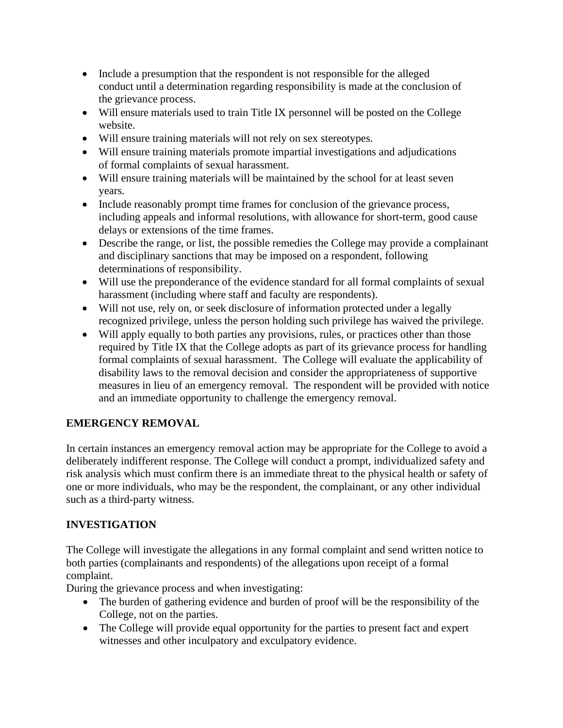- Include a presumption that the respondent is not responsible for the alleged conduct until a determination regarding responsibility is made at the conclusion of the grievance process.
- Will ensure materials used to train Title IX personnel will be posted on the College website.
- Will ensure training materials will not rely on sex stereotypes.
- Will ensure training materials promote impartial investigations and adjudications of formal complaints of sexual harassment.
- Will ensure training materials will be maintained by the school for at least seven years.
- Include reasonably prompt time frames for conclusion of the grievance process, including appeals and informal resolutions, with allowance for short-term, good cause delays or extensions of the time frames.
- Describe the range, or list, the possible remedies the College may provide a complainant and disciplinary sanctions that may be imposed on a respondent, following determinations of responsibility.
- Will use the preponderance of the evidence standard for all formal complaints of sexual harassment (including where staff and faculty are respondents).
- Will not use, rely on, or seek disclosure of information protected under a legally recognized privilege, unless the person holding such privilege has waived the privilege.
- Will apply equally to both parties any provisions, rules, or practices other than those required by Title IX that the College adopts as part of its grievance process for handling formal complaints of sexual harassment. The College will evaluate the applicability of disability laws to the removal decision and consider the appropriateness of supportive measures in lieu of an emergency removal. The respondent will be provided with notice and an immediate opportunity to challenge the emergency removal.

# **EMERGENCY REMOVAL**

In certain instances an emergency removal action may be appropriate for the College to avoid a deliberately indifferent response. The College will conduct a prompt, individualized safety and risk analysis which must confirm there is an immediate threat to the physical health or safety of one or more individuals, who may be the respondent, the complainant, or any other individual such as a third-party witness.

# **INVESTIGATION**

The College will investigate the allegations in any formal complaint and send written notice to both parties (complainants and respondents) of the allegations upon receipt of a formal complaint.

During the grievance process and when investigating:

- The burden of gathering evidence and burden of proof will be the responsibility of the College, not on the parties.
- The College will provide equal opportunity for the parties to present fact and expert witnesses and other inculpatory and exculpatory evidence.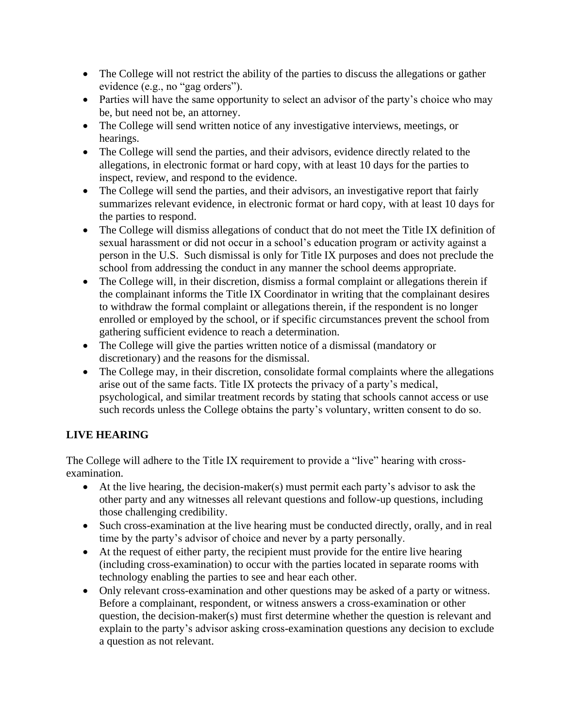- The College will not restrict the ability of the parties to discuss the allegations or gather evidence (e.g., no "gag orders").
- Parties will have the same opportunity to select an advisor of the party's choice who may be, but need not be, an attorney.
- The College will send written notice of any investigative interviews, meetings, or hearings.
- The College will send the parties, and their advisors, evidence directly related to the allegations, in electronic format or hard copy, with at least 10 days for the parties to inspect, review, and respond to the evidence.
- The College will send the parties, and their advisors, an investigative report that fairly summarizes relevant evidence, in electronic format or hard copy, with at least 10 days for the parties to respond.
- The College will dismiss allegations of conduct that do not meet the Title IX definition of sexual harassment or did not occur in a school's education program or activity against a person in the U.S. Such dismissal is only for Title IX purposes and does not preclude the school from addressing the conduct in any manner the school deems appropriate.
- The College will, in their discretion, dismiss a formal complaint or allegations therein if the complainant informs the Title IX Coordinator in writing that the complainant desires to withdraw the formal complaint or allegations therein, if the respondent is no longer enrolled or employed by the school, or if specific circumstances prevent the school from gathering sufficient evidence to reach a determination.
- The College will give the parties written notice of a dismissal (mandatory or discretionary) and the reasons for the dismissal.
- The College may, in their discretion, consolidate formal complaints where the allegations arise out of the same facts. Title IX protects the privacy of a party's medical, psychological, and similar treatment records by stating that schools cannot access or use such records unless the College obtains the party's voluntary, written consent to do so.

# **LIVE HEARING**

The College will adhere to the Title IX requirement to provide a "live" hearing with crossexamination.

- At the live hearing, the decision-maker(s) must permit each party's advisor to ask the other party and any witnesses all relevant questions and follow-up questions, including those challenging credibility.
- Such cross-examination at the live hearing must be conducted directly, orally, and in real time by the party's advisor of choice and never by a party personally.
- At the request of either party, the recipient must provide for the entire live hearing (including cross-examination) to occur with the parties located in separate rooms with technology enabling the parties to see and hear each other.
- Only relevant cross-examination and other questions may be asked of a party or witness. Before a complainant, respondent, or witness answers a cross-examination or other question, the decision-maker(s) must first determine whether the question is relevant and explain to the party's advisor asking cross-examination questions any decision to exclude a question as not relevant.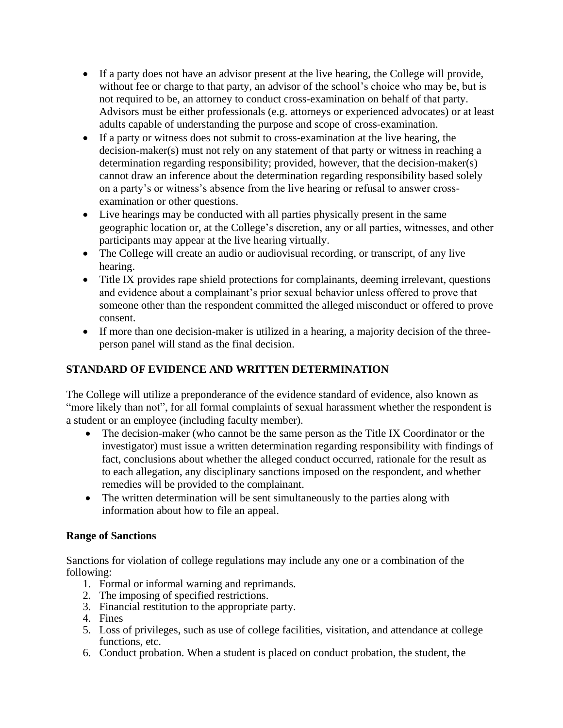- If a party does not have an advisor present at the live hearing, the College will provide, without fee or charge to that party, an advisor of the school's choice who may be, but is not required to be, an attorney to conduct cross-examination on behalf of that party. Advisors must be either professionals (e.g. attorneys or experienced advocates) or at least adults capable of understanding the purpose and scope of cross-examination.
- If a party or witness does not submit to cross-examination at the live hearing, the decision-maker(s) must not rely on any statement of that party or witness in reaching a determination regarding responsibility; provided, however, that the decision-maker(s) cannot draw an inference about the determination regarding responsibility based solely on a party's or witness's absence from the live hearing or refusal to answer crossexamination or other questions.
- Live hearings may be conducted with all parties physically present in the same geographic location or, at the College's discretion, any or all parties, witnesses, and other participants may appear at the live hearing virtually.
- The College will create an audio or audiovisual recording, or transcript, of any live hearing.
- Title IX provides rape shield protections for complainants, deeming irrelevant, questions and evidence about a complainant's prior sexual behavior unless offered to prove that someone other than the respondent committed the alleged misconduct or offered to prove consent.
- If more than one decision-maker is utilized in a hearing, a majority decision of the threeperson panel will stand as the final decision.

# **STANDARD OF EVIDENCE AND WRITTEN DETERMINATION**

The College will utilize a preponderance of the evidence standard of evidence, also known as "more likely than not", for all formal complaints of sexual harassment whether the respondent is a student or an employee (including faculty member).

- The decision-maker (who cannot be the same person as the Title IX Coordinator or the investigator) must issue a written determination regarding responsibility with findings of fact, conclusions about whether the alleged conduct occurred, rationale for the result as to each allegation, any disciplinary sanctions imposed on the respondent, and whether remedies will be provided to the complainant.
- The written determination will be sent simultaneously to the parties along with information about how to file an appeal.

### **Range of Sanctions**

Sanctions for violation of college regulations may include any one or a combination of the following:

- 1. Formal or informal warning and reprimands.
- 2. The imposing of specified restrictions.
- 3. Financial restitution to the appropriate party.
- 4. Fines
- 5. Loss of privileges, such as use of college facilities, visitation, and attendance at college functions, etc.
- 6. Conduct probation. When a student is placed on conduct probation, the student, the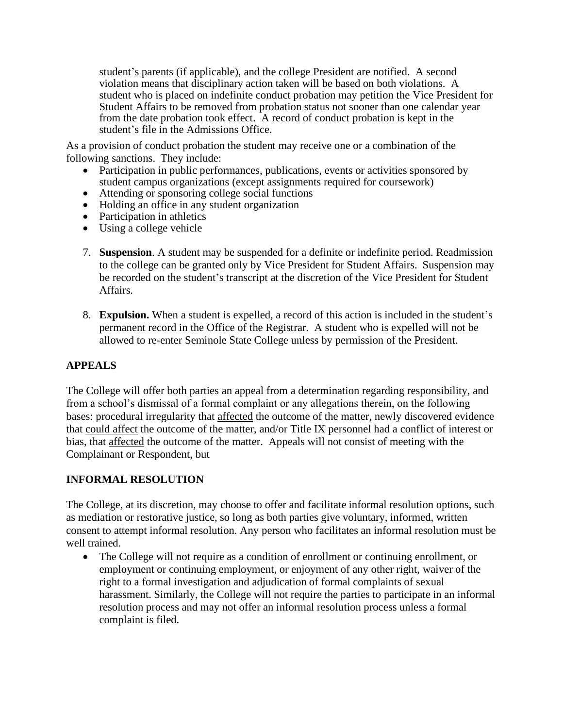student's parents (if applicable), and the college President are notified. A second violation means that disciplinary action taken will be based on both violations. A student who is placed on indefinite conduct probation may petition the Vice President for Student Affairs to be removed from probation status not sooner than one calendar year from the date probation took effect. A record of conduct probation is kept in the student's file in the Admissions Office.

As a provision of conduct probation the student may receive one or a combination of the following sanctions. They include:

- Participation in public performances, publications, events or activities sponsored by student campus organizations (except assignments required for coursework)
- Attending or sponsoring college social functions
- Holding an office in any student organization
- Participation in athletics
- Using a college vehicle
- 7. **Suspension**. A student may be suspended for a definite or indefinite period. Readmission to the college can be granted only by Vice President for Student Affairs. Suspension may be recorded on the student's transcript at the discretion of the Vice President for Student Affairs.
- 8. **Expulsion.** When a student is expelled, a record of this action is included in the student's permanent record in the Office of the Registrar. A student who is expelled will not be allowed to re-enter Seminole State College unless by permission of the President.

# **APPEALS**

The College will offer both parties an appeal from a determination regarding responsibility, and from a school's dismissal of a formal complaint or any allegations therein, on the following bases: procedural irregularity that affected the outcome of the matter, newly discovered evidence that could affect the outcome of the matter, and/or Title IX personnel had a conflict of interest or bias, that affected the outcome of the matter. Appeals will not consist of meeting with the Complainant or Respondent, but

# **INFORMAL RESOLUTION**

The College, at its discretion, may choose to offer and facilitate informal resolution options, such as mediation or restorative justice, so long as both parties give voluntary, informed, written consent to attempt informal resolution. Any person who facilitates an informal resolution must be well trained.

• The College will not require as a condition of enrollment or continuing enrollment, or employment or continuing employment, or enjoyment of any other right, waiver of the right to a formal investigation and adjudication of formal complaints of sexual harassment. Similarly, the College will not require the parties to participate in an informal resolution process and may not offer an informal resolution process unless a formal complaint is filed.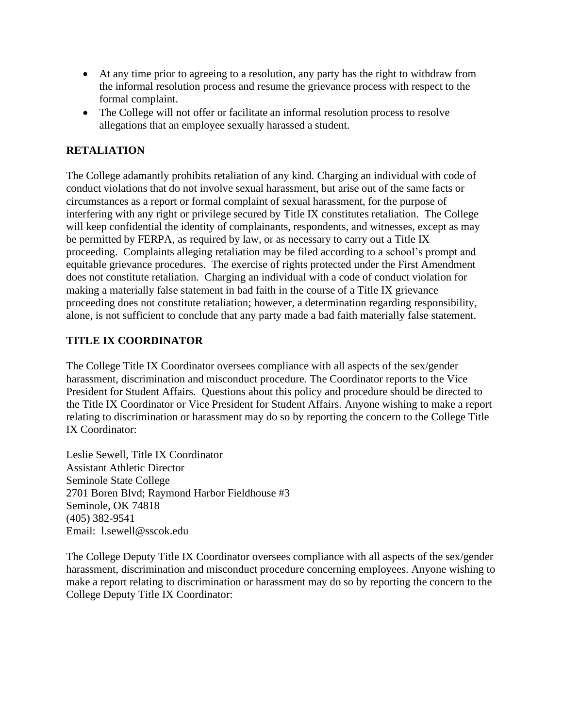- At any time prior to agreeing to a resolution, any party has the right to withdraw from the informal resolution process and resume the grievance process with respect to the formal complaint.
- The College will not offer or facilitate an informal resolution process to resolve allegations that an employee sexually harassed a student.

## **RETALIATION**

The College adamantly prohibits retaliation of any kind. Charging an individual with code of conduct violations that do not involve sexual harassment, but arise out of the same facts or circumstances as a report or formal complaint of sexual harassment, for the purpose of interfering with any right or privilege secured by Title IX constitutes retaliation. The College will keep confidential the identity of complainants, respondents, and witnesses, except as may be permitted by FERPA, as required by law, or as necessary to carry out a Title IX proceeding. Complaints alleging retaliation may be filed according to a school's prompt and equitable grievance procedures. The exercise of rights protected under the First Amendment does not constitute retaliation. Charging an individual with a code of conduct violation for making a materially false statement in bad faith in the course of a Title IX grievance proceeding does not constitute retaliation; however, a determination regarding responsibility, alone, is not sufficient to conclude that any party made a bad faith materially false statement.

# **TITLE IX COORDINATOR**

The College Title IX Coordinator oversees compliance with all aspects of the sex/gender harassment, discrimination and misconduct procedure. The Coordinator reports to the Vice President for Student Affairs. Questions about this policy and procedure should be directed to the Title IX Coordinator or Vice President for Student Affairs. Anyone wishing to make a report relating to discrimination or harassment may do so by reporting the concern to the College Title IX Coordinator:

Leslie Sewell, Title IX Coordinator Assistant Athletic Director Seminole State College 2701 Boren Blvd; Raymond Harbor Fieldhouse #3 Seminole, OK 74818 (405) 382-9541 Email: l.sewell@sscok.edu

The College Deputy Title IX Coordinator oversees compliance with all aspects of the sex/gender harassment, discrimination and misconduct procedure concerning employees. Anyone wishing to make a report relating to discrimination or harassment may do so by reporting the concern to the College Deputy Title IX Coordinator: